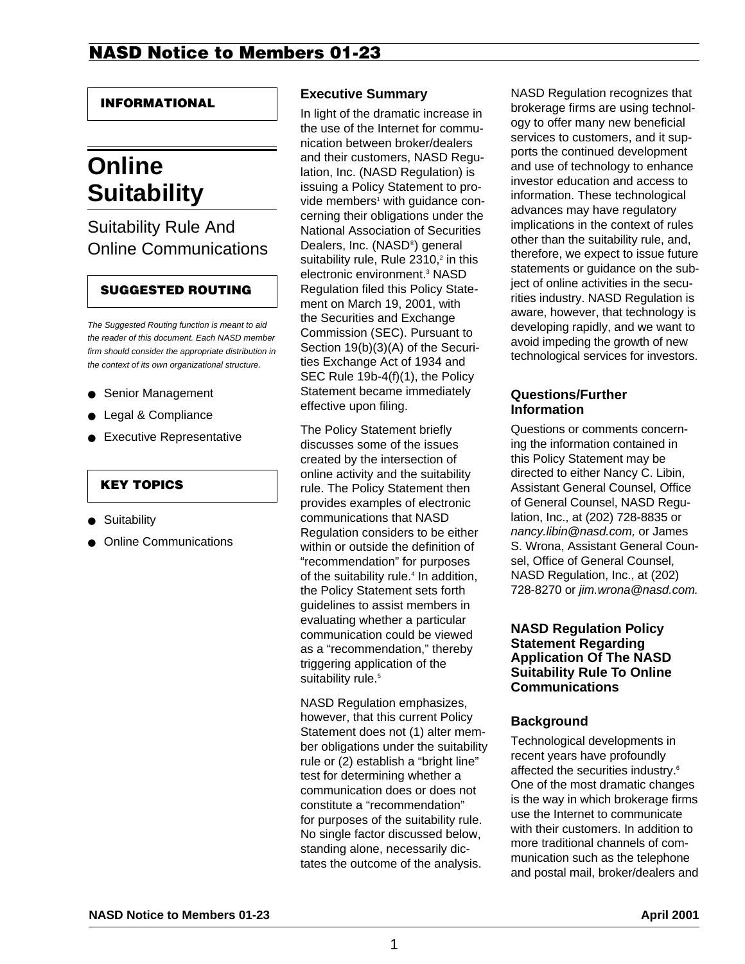## **NASD Notice to Members 01-23**

### **INFORMATIONAL**

# **Online Suitability**

Suitability Rule And Online Communications

## **SUGGESTED ROUTING**

The Suggested Routing function is meant to aid the reader of this document. Each NASD member firm should consider the appropriate distribution in the context of its own organizational structure.

- Senior Management
- Legal & Compliance
- Executive Representative

#### **KEY TOPICS**

- Suitability
- Online Communications

#### **Executive Summary**

In light of the dramatic increase in the use of the Internet for communication between broker/dealers and their customers, NASD Regulation, Inc. (NASD Regulation) is issuing a Policy Statement to provide members<sup>1</sup> with guidance concerning their obligations under the National Association of Securities Dealers, Inc. (NASD®) general suitability rule, Rule  $2310<sub>1</sub><sup>2</sup>$  in this electronic environment.<sup>3</sup> NASD Regulation filed this Policy Statement on March 19, 2001, with the Securities and Exchange Commission (SEC). Pursuant to Section 19(b)(3)(A) of the Securities Exchange Act of 1934 and SEC Rule 19b-4(f)(1), the Policy Statement became immediately effective upon filing.

The Policy Statement briefly discusses some of the issues created by the intersection of online activity and the suitability rule. The Policy Statement then provides examples of electronic communications that NASD Regulation considers to be either within or outside the definition of "recommendation" for purposes of the suitability rule.<sup>4</sup> In addition, the Policy Statement sets forth guidelines to assist members in evaluating whether a particular communication could be viewed as a "recommendation," thereby triggering application of the suitability rule.<sup>5</sup>

NASD Regulation emphasizes, however, that this current Policy Statement does not (1) alter member obligations under the suitability rule or (2) establish a "bright line" test for determining whether a communication does or does not constitute a "recommendation" for purposes of the suitability rule. No single factor discussed below, standing alone, necessarily dictates the outcome of the analysis.

NASD Regulation recognizes that brokerage firms are using technology to offer many new beneficial services to customers, and it supports the continued development and use of technology to enhance investor education and access to information. These technological advances may have regulatory implications in the context of rules other than the suitability rule, and, therefore, we expect to issue future statements or guidance on the subject of online activities in the securities industry. NASD Regulation is aware, however, that technology is developing rapidly, and we want to avoid impeding the growth of new technological services for investors.

#### **Questions/Further Information**

Questions or comments concerning the information contained in this Policy Statement may be directed to either Nancy C. Libin, Assistant General Counsel, Office of General Counsel, NASD Regulation, Inc., at (202) 728-8835 or nancy.libin@nasd.com, or James S. Wrona, Assistant General Counsel, Office of General Counsel, NASD Regulation, Inc., at (202) 728-8270 or jim.wrona@nasd.com.

#### **NASD Regulation Policy Statement Regarding Application Of The NASD Suitability Rule To Online Communications**

#### **Background**

Technological developments in recent years have profoundly affected the securities industry.<sup>6</sup> One of the most dramatic changes is the way in which brokerage firms use the Internet to communicate with their customers. In addition to more traditional channels of communication such as the telephone and postal mail, broker/dealers and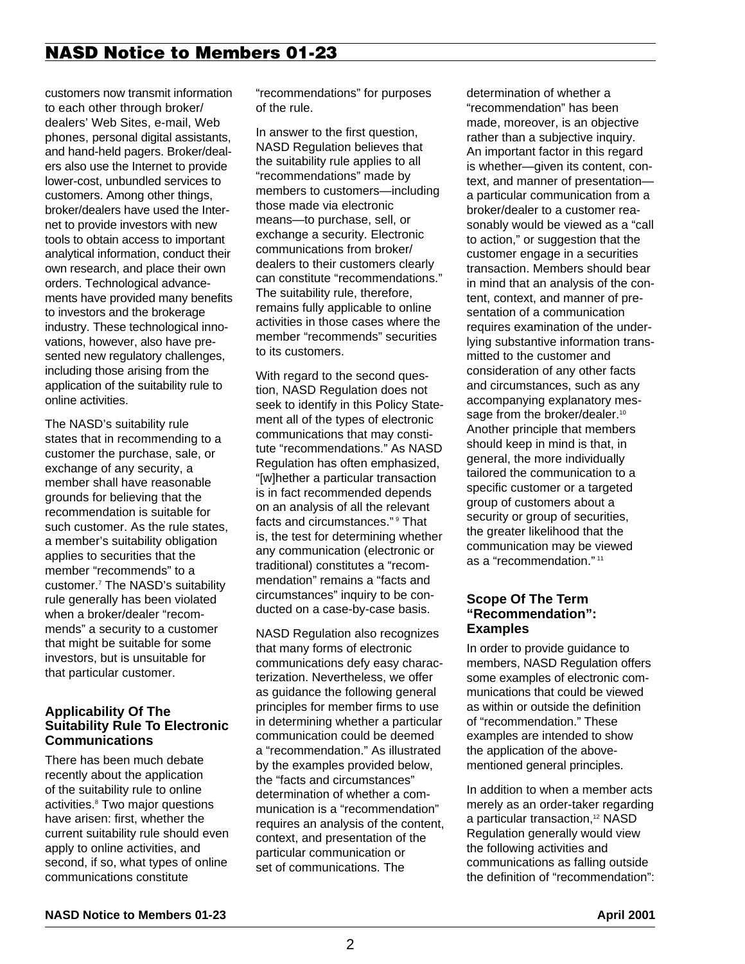customers now transmit information to each other through broker/ dealers' Web Sites, e-mail, Web phones, personal digital assistants, and hand-held pagers. Broker/dealers also use the Internet to provide lower-cost, unbundled services to customers. Among other things, broker/dealers have used the Internet to provide investors with new tools to obtain access to important analytical information, conduct their own research, and place their own orders. Technological advancements have provided many benefits to investors and the brokerage industry. These technological innovations, however, also have presented new regulatory challenges, including those arising from the application of the suitability rule to online activities.

The NASD's suitability rule states that in recommending to a customer the purchase, sale, or exchange of any security, a member shall have reasonable grounds for believing that the recommendation is suitable for such customer. As the rule states, a member's suitability obligation applies to securities that the member "recommends" to a customer.7 The NASD's suitability rule generally has been violated when a broker/dealer "recommends" a security to a customer that might be suitable for some investors, but is unsuitable for that particular customer.

#### **Applicability Of The Suitability Rule To Electronic Communications**

There has been much debate recently about the application of the suitability rule to online activities.<sup>8</sup> Two major questions have arisen: first, whether the current suitability rule should even apply to online activities, and second, if so, what types of online communications constitute

"recommendations" for purposes of the rule.

In answer to the first question, NASD Regulation believes that the suitability rule applies to all "recommendations" made by members to customers—including those made via electronic means—to purchase, sell, or exchange a security. Electronic communications from broker/ dealers to their customers clearly can constitute "recommendations." The suitability rule, therefore, remains fully applicable to online activities in those cases where the member "recommends" securities to its customers.

With regard to the second question, NASD Regulation does not seek to identify in this Policy Statement all of the types of electronic communications that may constitute "recommendations." As NASD Regulation has often emphasized, "[w]hether a particular transaction is in fact recommended depends on an analysis of all the relevant facts and circumstances." <sup>9</sup> That is, the test for determining whether any communication (electronic or traditional) constitutes a "recommendation" remains a "facts and circumstances" inquiry to be conducted on a case-by-case basis.

NASD Regulation also recognizes that many forms of electronic communications defy easy characterization. Nevertheless, we offer as guidance the following general principles for member firms to use in determining whether a particular communication could be deemed a "recommendation." As illustrated by the examples provided below, the "facts and circumstances" determination of whether a communication is a "recommendation" requires an analysis of the content, context, and presentation of the particular communication or set of communications. The

determination of whether a "recommendation" has been made, moreover, is an objective rather than a subjective inquiry. An important factor in this regard is whether—given its content, context, and manner of presentation a particular communication from a broker/dealer to a customer reasonably would be viewed as a "call to action," or suggestion that the customer engage in a securities transaction. Members should bear in mind that an analysis of the content, context, and manner of presentation of a communication requires examination of the underlying substantive information transmitted to the customer and consideration of any other facts and circumstances, such as any accompanying explanatory message from the broker/dealer.<sup>10</sup> Another principle that members should keep in mind is that, in general, the more individually tailored the communication to a specific customer or a targeted group of customers about a security or group of securities. the greater likelihood that the communication may be viewed as a "recommendation." <sup>11</sup>

#### **Scope Of The Term "Recommendation": Examples**

In order to provide guidance to members, NASD Regulation offers some examples of electronic communications that could be viewed as within or outside the definition of "recommendation." These examples are intended to show the application of the abovementioned general principles.

In addition to when a member acts merely as an order-taker regarding a particular transaction,<sup>12</sup> NASD Regulation generally would view the following activities and communications as falling outside the definition of "recommendation":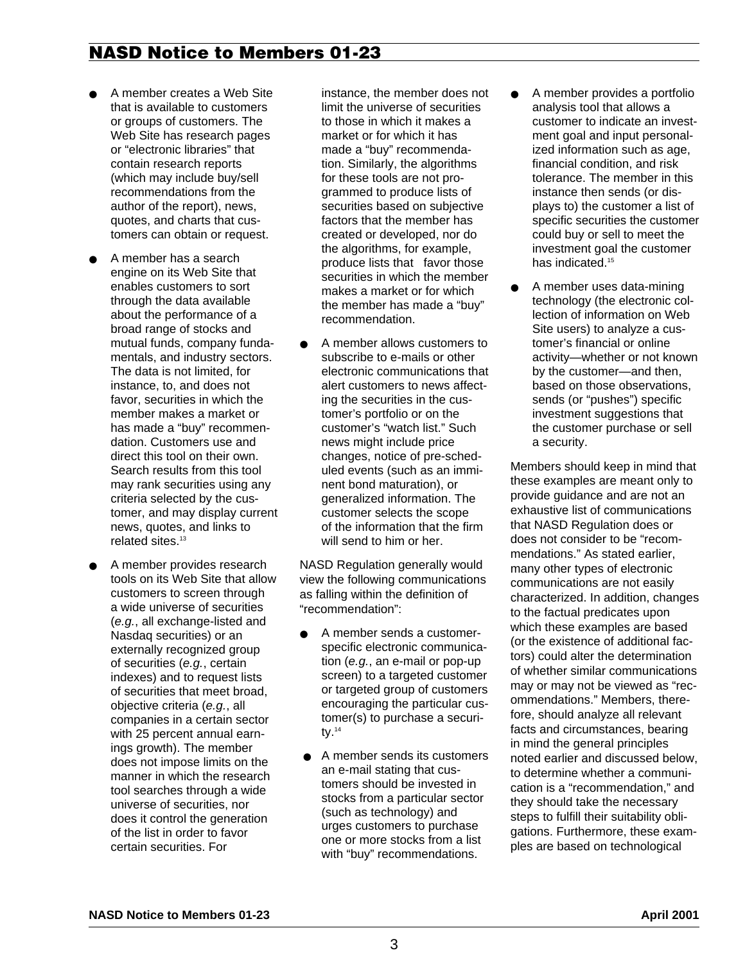- A member creates a Web Site that is available to customers or groups of customers. The Web Site has research pages or "electronic libraries" that contain research reports (which may include buy/sell recommendations from the author of the report), news, quotes, and charts that customers can obtain or request.
- A member has a search engine on its Web Site that enables customers to sort through the data available about the performance of a broad range of stocks and mutual funds, company fundamentals, and industry sectors. The data is not limited, for instance, to, and does not favor, securities in which the member makes a market or has made a "buy" recommendation. Customers use and direct this tool on their own. Search results from this tool may rank securities using any criteria selected by the customer, and may display current news, quotes, and links to related sites.<sup>13</sup>
- A member provides research tools on its Web Site that allow customers to screen through a wide universe of securities (e.g., all exchange-listed and Nasdaq securities) or an externally recognized group of securities (e.g., certain indexes) and to request lists of securities that meet broad, objective criteria (e.g., all companies in a certain sector with 25 percent annual earnings growth). The member does not impose limits on the manner in which the research tool searches through a wide universe of securities, nor does it control the generation of the list in order to favor certain securities. For

instance, the member does not limit the universe of securities to those in which it makes a market or for which it has made a "buy" recommendation. Similarly, the algorithms for these tools are not programmed to produce lists of securities based on subjective factors that the member has created or developed, nor do the algorithms, for example, produce lists that favor those securities in which the member makes a market or for which the member has made a "buy" recommendation.

A member allows customers to subscribe to e-mails or other electronic communications that alert customers to news affecting the securities in the customer's portfolio or on the customer's "watch list." Such news might include price changes, notice of pre-scheduled events (such as an imminent bond maturation), or generalized information. The customer selects the scope of the information that the firm will send to him or her.

NASD Regulation generally would view the following communications as falling within the definition of "recommendation":

- A member sends a customerspecific electronic communication (e.g., an e-mail or pop-up screen) to a targeted customer or targeted group of customers encouraging the particular customer(s) to purchase a security.14
- A member sends its customers an e-mail stating that customers should be invested in stocks from a particular sector (such as technology) and urges customers to purchase one or more stocks from a list with "buy" recommendations.
- A member provides a portfolio analysis tool that allows a customer to indicate an investment goal and input personalized information such as age, financial condition, and risk tolerance. The member in this instance then sends (or displays to) the customer a list of specific securities the customer could buy or sell to meet the investment goal the customer has indicated.<sup>15</sup>
- A member uses data-mining technology (the electronic collection of information on Web Site users) to analyze a customer's financial or online activity—whether or not known by the customer—and then, based on those observations, sends (or "pushes") specific investment suggestions that the customer purchase or sell a security.

Members should keep in mind that these examples are meant only to provide guidance and are not an exhaustive list of communications that NASD Regulation does or does not consider to be "recommendations." As stated earlier, many other types of electronic communications are not easily characterized. In addition, changes to the factual predicates upon which these examples are based (or the existence of additional factors) could alter the determination of whether similar communications may or may not be viewed as "recommendations." Members, therefore, should analyze all relevant facts and circumstances, bearing in mind the general principles noted earlier and discussed below, to determine whether a communication is a "recommendation," and they should take the necessary steps to fulfill their suitability obligations. Furthermore, these examples are based on technological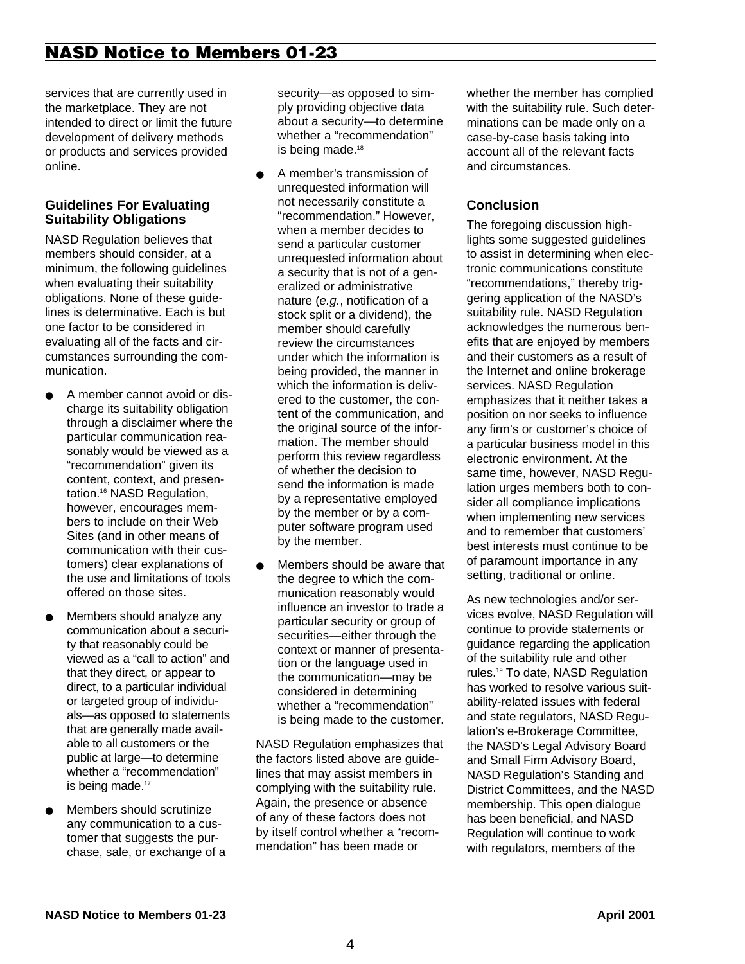services that are currently used in the marketplace. They are not intended to direct or limit the future development of delivery methods or products and services provided online.

#### **Guidelines For Evaluating Suitability Obligations**

NASD Regulation believes that members should consider, at a minimum, the following guidelines when evaluating their suitability obligations. None of these guidelines is determinative. Each is but one factor to be considered in evaluating all of the facts and circumstances surrounding the communication.

- A member cannot avoid or discharge its suitability obligation through a disclaimer where the particular communication reasonably would be viewed as a "recommendation" given its content, context, and presentation.16 NASD Regulation, however, encourages members to include on their Web Sites (and in other means of communication with their customers) clear explanations of the use and limitations of tools offered on those sites.
- Members should analyze any communication about a security that reasonably could be viewed as a "call to action" and that they direct, or appear to direct, to a particular individual or targeted group of individuals—as opposed to statements that are generally made available to all customers or the public at large—to determine whether a "recommendation" is being made.<sup>17</sup>
- Members should scrutinize any communication to a customer that suggests the purchase, sale, or exchange of a

security—as opposed to simply providing objective data about a security—to determine whether a "recommendation" is being made.<sup>18</sup>

- A member's transmission of unrequested information will not necessarily constitute a "recommendation." However, when a member decides to send a particular customer unrequested information about a security that is not of a generalized or administrative nature (e.g., notification of a stock split or a dividend), the member should carefully review the circumstances under which the information is being provided, the manner in which the information is delivered to the customer, the content of the communication, and the original source of the information. The member should perform this review regardless of whether the decision to send the information is made by a representative employed by the member or by a computer software program used by the member.
- Members should be aware that the degree to which the communication reasonably would influence an investor to trade a particular security or group of securities—either through the context or manner of presentation or the language used in the communication—may be considered in determining whether a "recommendation" is being made to the customer.

NASD Regulation emphasizes that the factors listed above are guidelines that may assist members in complying with the suitability rule. Again, the presence or absence of any of these factors does not by itself control whether a "recommendation" has been made or

whether the member has complied with the suitability rule. Such determinations can be made only on a case-by-case basis taking into account all of the relevant facts and circumstances.

## **Conclusion**

The foregoing discussion highlights some suggested guidelines to assist in determining when electronic communications constitute "recommendations," thereby triggering application of the NASD's suitability rule. NASD Regulation acknowledges the numerous benefits that are enjoyed by members and their customers as a result of the Internet and online brokerage services. NASD Regulation emphasizes that it neither takes a position on nor seeks to influence any firm's or customer's choice of a particular business model in this electronic environment. At the same time, however, NASD Regulation urges members both to consider all compliance implications when implementing new services and to remember that customers' best interests must continue to be of paramount importance in any setting, traditional or online.

As new technologies and/or services evolve, NASD Regulation will continue to provide statements or guidance regarding the application of the suitability rule and other rules.19 To date, NASD Regulation has worked to resolve various suitability-related issues with federal and state regulators, NASD Regulation's e-Brokerage Committee, the NASD's Legal Advisory Board and Small Firm Advisory Board, NASD Regulation's Standing and District Committees, and the NASD membership. This open dialogue has been beneficial, and NASD Regulation will continue to work with regulators, members of the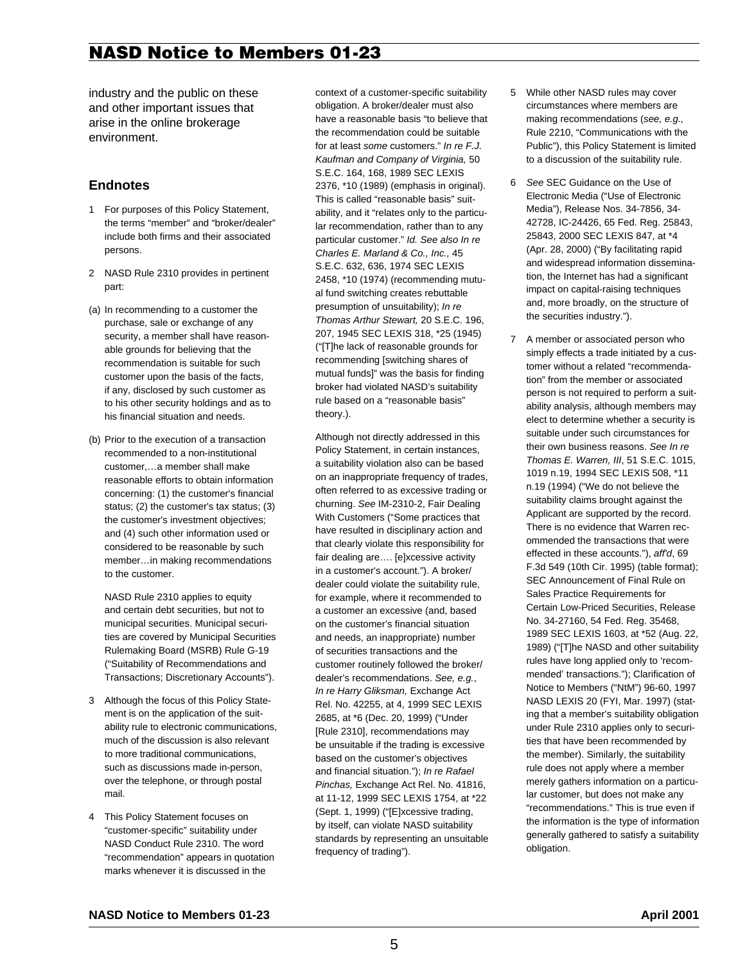industry and the public on these and other important issues that arise in the online brokerage environment.

## **Endnotes**

- 1 For purposes of this Policy Statement, the terms "member" and "broker/dealer" include both firms and their associated persons.
- 2 NASD Rule 2310 provides in pertinent part:
- (a) In recommending to a customer the purchase, sale or exchange of any security, a member shall have reasonable grounds for believing that the recommendation is suitable for such customer upon the basis of the facts, if any, disclosed by such customer as to his other security holdings and as to his financial situation and needs.
- (b) Prior to the execution of a transaction recommended to a non-institutional customer,…a member shall make reasonable efforts to obtain information concerning: (1) the customer's financial status; (2) the customer's tax status; (3) the customer's investment objectives; and (4) such other information used or considered to be reasonable by such member…in making recommendations to the customer.

NASD Rule 2310 applies to equity and certain debt securities, but not to municipal securities. Municipal securities are covered by Municipal Securities Rulemaking Board (MSRB) Rule G-19 ("Suitability of Recommendations and Transactions; Discretionary Accounts").

- 3 Although the focus of this Policy Statement is on the application of the suitability rule to electronic communications, much of the discussion is also relevant to more traditional communications, such as discussions made in-person, over the telephone, or through postal mail.
- 4 This Policy Statement focuses on "customer-specific" suitability under NASD Conduct Rule 2310. The word "recommendation" appears in quotation marks whenever it is discussed in the

context of a customer-specific suitability obligation. A broker/dealer must also have a reasonable basis "to believe that the recommendation could be suitable for at least some customers." In re F.J. Kaufman and Company of Virginia, 50 S.E.C. 164, 168, 1989 SEC LEXIS 2376, \*10 (1989) (emphasis in original). This is called "reasonable basis" suitability, and it "relates only to the particular recommendation, rather than to any particular customer." Id. See also In re Charles E. Marland & Co., Inc., 45 S.E.C. 632, 636, 1974 SEC LEXIS 2458, \*10 (1974) (recommending mutual fund switching creates rebuttable presumption of unsuitability); In re Thomas Arthur Stewart, 20 S.E.C. 196, 207, 1945 SEC LEXIS 318, \*25 (1945) ("[T]he lack of reasonable grounds for recommending [switching shares of mutual funds]" was the basis for finding broker had violated NASD's suitability rule based on a "reasonable basis" theory.).

Although not directly addressed in this Policy Statement, in certain instances, a suitability violation also can be based on an inappropriate frequency of trades, often referred to as excessive trading or churning. See IM-2310-2, Fair Dealing With Customers ("Some practices that have resulted in disciplinary action and that clearly violate this responsibility for fair dealing are…. [e]xcessive activity in a customer's account."). A broker/ dealer could violate the suitability rule, for example, where it recommended to a customer an excessive (and, based on the customer's financial situation and needs, an inappropriate) number of securities transactions and the customer routinely followed the broker/ dealer's recommendations. See, e.g., In re Harry Gliksman, Exchange Act Rel. No. 42255, at 4, 1999 SEC LEXIS 2685, at \*6 (Dec. 20, 1999) ("Under [Rule 2310], recommendations may be unsuitable if the trading is excessive based on the customer's objectives and financial situation."); In re Rafael Pinchas, Exchange Act Rel. No. 41816, at 11-12, 1999 SEC LEXIS 1754, at \*22 (Sept. 1, 1999) ("[E]xcessive trading, by itself, can violate NASD suitability standards by representing an unsuitable frequency of trading").

- 5 While other NASD rules may cover circumstances where members are making recommendations (see, e.g., Rule 2210, "Communications with the Public"), this Policy Statement is limited to a discussion of the suitability rule.
- 6 See SEC Guidance on the Use of Electronic Media ("Use of Electronic Media"), Release Nos. 34-7856, 34- 42728, IC-24426, 65 Fed. Reg. 25843, 25843, 2000 SEC LEXIS 847, at \*4 (Apr. 28, 2000) ("By facilitating rapid and widespread information dissemination, the Internet has had a significant impact on capital-raising techniques and, more broadly, on the structure of the securities industry.").
- 7 A member or associated person who simply effects a trade initiated by a customer without a related "recommendation" from the member or associated person is not required to perform a suitability analysis, although members may elect to determine whether a security is suitable under such circumstances for their own business reasons. See In re Thomas E. Warren, III, 51 S.E.C. 1015, 1019 n.19, 1994 SEC LEXIS 508, \*11 n.19 (1994) ("We do not believe the suitability claims brought against the Applicant are supported by the record. There is no evidence that Warren recommended the transactions that were effected in these accounts."), aff'd, 69 F.3d 549 (10th Cir. 1995) (table format); SEC Announcement of Final Rule on Sales Practice Requirements for Certain Low-Priced Securities, Release No. 34-27160, 54 Fed. Reg. 35468, 1989 SEC LEXIS 1603, at \*52 (Aug. 22, 1989) ("[T]he NASD and other suitability rules have long applied only to 'recommended' transactions."); Clarification of Notice to Members ("NtM") 96-60, 1997 NASD LEXIS 20 (FYI, Mar. 1997) (stating that a member's suitability obligation under Rule 2310 applies only to securities that have been recommended by the member). Similarly, the suitability rule does not apply where a member merely gathers information on a particular customer, but does not make any "recommendations." This is true even if the information is the type of information generally gathered to satisfy a suitability obligation.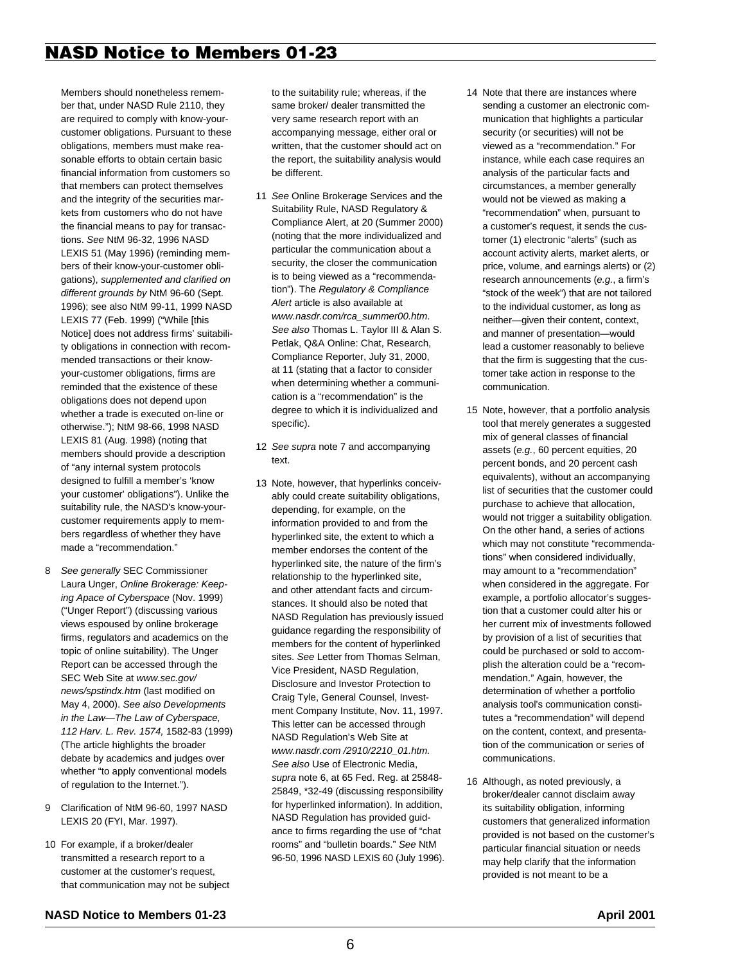Members should nonetheless remember that, under NASD Rule 2110, they are required to comply with know-yourcustomer obligations. Pursuant to these obligations, members must make reasonable efforts to obtain certain basic financial information from customers so that members can protect themselves and the integrity of the securities markets from customers who do not have the financial means to pay for transactions. See NtM 96-32, 1996 NASD LEXIS 51 (May 1996) (reminding members of their know-your-customer obligations), supplemented and clarified on different grounds by NtM 96-60 (Sept. 1996); see also NtM 99-11, 1999 NASD LEXIS 77 (Feb. 1999) ("While [this Notice] does not address firms' suitability obligations in connection with recommended transactions or their knowyour-customer obligations, firms are reminded that the existence of these obligations does not depend upon whether a trade is executed on-line or otherwise."); NtM 98-66, 1998 NASD LEXIS 81 (Aug. 1998) (noting that members should provide a description of "any internal system protocols designed to fulfill a member's 'know your customer' obligations"). Unlike the suitability rule, the NASD's know-yourcustomer requirements apply to members regardless of whether they have made a "recommendation."

- 8 See generally SEC Commissioner Laura Unger, Online Brokerage: Keeping Apace of Cyberspace (Nov. 1999) ("Unger Report") (discussing various views espoused by online brokerage firms, regulators and academics on the topic of online suitability). The Unger Report can be accessed through the SEC Web Site at www.sec.gov/ news/spstindx.htm (last modified on May 4, 2000). See also Developments in the Law—The Law of Cyberspace, 112 Harv. L. Rev. 1574, 1582-83 (1999) (The article highlights the broader debate by academics and judges over whether "to apply conventional models of regulation to the Internet.").
- 9 Clarification of NtM 96-60, 1997 NASD LEXIS 20 (FYI, Mar. 1997).
- 10 For example, if a broker/dealer transmitted a research report to a customer at the customer's request, that communication may not be subject

to the suitability rule; whereas, if the same broker/ dealer transmitted the very same research report with an accompanying message, either oral or written, that the customer should act on the report, the suitability analysis would be different.

- 11 See Online Brokerage Services and the Suitability Rule, NASD Regulatory & Compliance Alert, at 20 (Summer 2000) (noting that the more individualized and particular the communication about a security, the closer the communication is to being viewed as a "recommendation"). The Regulatory & Compliance Alert article is also available at www.nasdr.com/rca\_summer00.htm. See also Thomas L. Taylor III & Alan S. Petlak, Q&A Online: Chat, Research, Compliance Reporter, July 31, 2000, at 11 (stating that a factor to consider when determining whether a communication is a "recommendation" is the degree to which it is individualized and specific).
- 12 See supra note 7 and accompanying text.
- 13 Note, however, that hyperlinks conceivably could create suitability obligations, depending, for example, on the information provided to and from the hyperlinked site, the extent to which a member endorses the content of the hyperlinked site, the nature of the firm's relationship to the hyperlinked site, and other attendant facts and circumstances. It should also be noted that NASD Regulation has previously issued guidance regarding the responsibility of members for the content of hyperlinked sites. See Letter from Thomas Selman, Vice President, NASD Regulation, Disclosure and Investor Protection to Craig Tyle, General Counsel, Investment Company Institute, Nov. 11, 1997. This letter can be accessed through NASD Regulation's Web Site at www.nasdr.com /2910/2210\_01.htm. See also Use of Electronic Media, supra note 6, at 65 Fed. Reg. at 25848- 25849, \*32-49 (discussing responsibility for hyperlinked information). In addition, NASD Regulation has provided guidance to firms regarding the use of "chat rooms" and "bulletin boards." See NtM 96-50, 1996 NASD LEXIS 60 (July 1996).
- 14 Note that there are instances where sending a customer an electronic communication that highlights a particular security (or securities) will not be viewed as a "recommendation." For instance, while each case requires an analysis of the particular facts and circumstances, a member generally would not be viewed as making a "recommendation" when, pursuant to a customer's request, it sends the customer (1) electronic "alerts" (such as account activity alerts, market alerts, or price, volume, and earnings alerts) or (2) research announcements (e.g., a firm's "stock of the week") that are not tailored to the individual customer, as long as neither—given their content, context, and manner of presentation—would lead a customer reasonably to believe that the firm is suggesting that the customer take action in response to the communication.
- 15 Note, however, that a portfolio analysis tool that merely generates a suggested mix of general classes of financial assets (e.g., 60 percent equities, 20 percent bonds, and 20 percent cash equivalents), without an accompanying list of securities that the customer could purchase to achieve that allocation, would not trigger a suitability obligation. On the other hand, a series of actions which may not constitute "recommendations" when considered individually, may amount to a "recommendation" when considered in the aggregate. For example, a portfolio allocator's suggestion that a customer could alter his or her current mix of investments followed by provision of a list of securities that could be purchased or sold to accomplish the alteration could be a "recommendation." Again, however, the determination of whether a portfolio analysis tool's communication constitutes a "recommendation" will depend on the content, context, and presentation of the communication or series of communications.
- 16 Although, as noted previously, a broker/dealer cannot disclaim away its suitability obligation, informing customers that generalized information provided is not based on the customer's particular financial situation or needs may help clarify that the information provided is not meant to be a